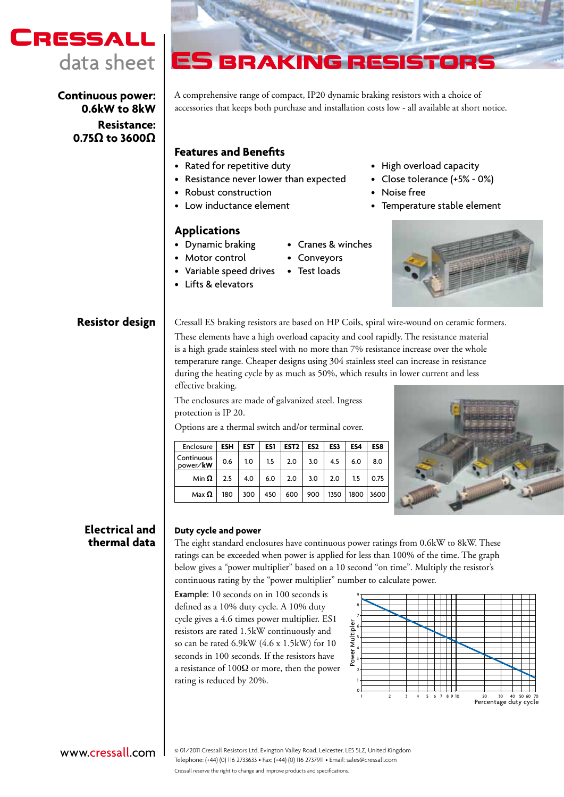

**Continuous power: 0.6kW to 8kW Resistance: 0.75Ω to 3600Ω**



A comprehensive range of compact, IP20 dynamic braking resistors with a choice of accessories that keeps both purchase and installation costs low - all available at short notice.

# **Features and Benefits**

- • Rated for repetitive duty
- • Resistance never lower than expected
- Robust construction
- • Low inductance element

# **Applications**

- • Dynamic braking
- Motor control
- Variable speed drives Test loads
- • Lifts & elevators
- • High overload capacity
- Close tolerance (+5% 0%)
- • Noise free
- • Temperature stable element



**Resistor design** | Cressall ES braking resistors are based on HP Coils, spiral wire-wound on ceramic formers. These elements have a high overload capacity and cool rapidly. The resistance material is a high grade stainless steel with no more than 7% resistance increase over the whole temperature range. Cheaper designs using 304 stainless steel can increase in resistance during the heating cycle by as much as 50%, which results in lower current and less effective braking.

• Cranes & winches

• Conveyors

The enclosures are made of galvanized steel. Ingress protection is IP 20.

Options are a thermal switch and/or terminal cover.

| Enclosure                 | <b>ESH</b> | <b>EST</b> | ES1           | EST <sub>2</sub> | ES <sub>2</sub> | ES3  | ES4  | ES8  |
|---------------------------|------------|------------|---------------|------------------|-----------------|------|------|------|
| Continuous<br>power/kW    | 0.6        | 1.0        | $1.5 \quad  $ | 2.0              | 3.0             | 4.5  | 6.0  | 8.0  |
| Min $\boldsymbol{\Omega}$ | 2.5        | 4.0        | 6.0           | 2.0              | 3.0             | 2.0  | 1.5  | 0.75 |
| Max $\Omega$              | 180        | 300        | 450           | 600              | 900             | 1350 | 1800 | 3600 |



# **Electrical and thermal data**

### **Duty cycle and power**

The eight standard enclosures have continuous power ratings from 0.6kW to 8kW. These ratings can be exceeded when power is applied for less than 100% of the time. The graph below gives a "power multiplier" based on a 10 second "on time". Multiply the resistor's continuous rating by the "power multiplier" number to calculate power.

Example: 10 seconds on in 100 seconds is defined as a 10% duty cycle. A 10% duty cycle gives a 4.6 times power multiplier. ES1 resistors are rated 1.5kW continuously and so can be rated 6.9kW (4.6 x 1.5kW) for 10 seconds in 100 seconds. If the resistors have a resistance of  $100\Omega$  or more, then the power rating is reduced by 20%.



# www.cressall.com

Cressall reserve the right to change and improve products and specifications. © 01/2011 Cressall Resistors Ltd, Evington Valley Road, Leicester, LE5 5LZ, United Kingdom Telephone: (+44) (0) 116 2733633 • Fax: (+44) (0) 116 2737911 • Email: sales@cressall.com